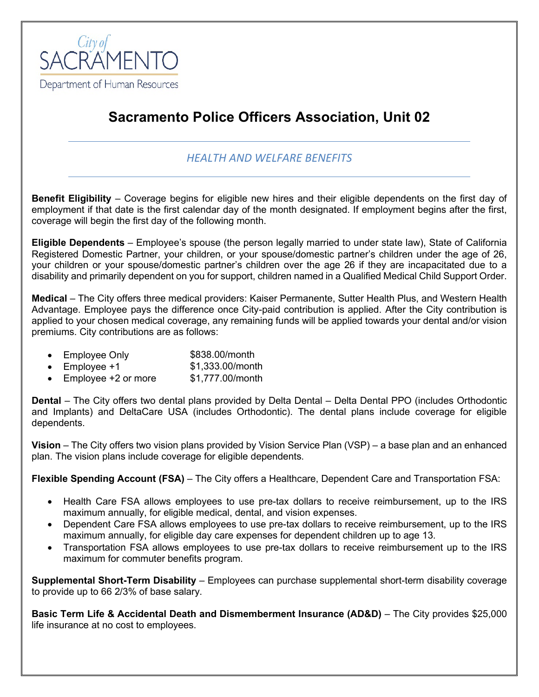

# **Sacramento Police Officers Association, Unit 02**

## *HEALTH AND WELFARE BENEFITS*

**Benefit Eligibility** – Coverage begins for eligible new hires and their eligible dependents on the first day of employment if that date is the first calendar day of the month designated. If employment begins after the first, coverage will begin the first day of the following month.

**Eligible Dependents** – Employee's spouse (the person legally married to under state law), State of California Registered Domestic Partner, your children, or your spouse/domestic partner's children under the age of 26, your children or your spouse/domestic partner's children over the age 26 if they are incapacitated due to a disability and primarily dependent on you for support, children named in a Qualified Medical Child Support Order.

**Medical** – The City offers three medical providers: Kaiser Permanente, Sutter Health Plus, and Western Health Advantage. Employee pays the difference once City-paid contribution is applied. After the City contribution is applied to your chosen medical coverage, any remaining funds will be applied towards your dental and/or vision premiums. City contributions are as follows:

- Employee Only \$838.00/month
- Employee +1 \$1,333.00/month
- Employee +2 or more \$1,777.00/month

**Dental** – The City offers two dental plans provided by Delta Dental – Delta Dental PPO (includes Orthodontic and Implants) and DeltaCare USA (includes Orthodontic). The dental plans include coverage for eligible dependents.

**Vision** – The City offers two vision plans provided by Vision Service Plan (VSP) – a base plan and an enhanced plan. The vision plans include coverage for eligible dependents.

**Flexible Spending Account (FSA)** – The City offers a Healthcare, Dependent Care and Transportation FSA:

- Health Care FSA allows employees to use pre-tax dollars to receive reimbursement, up to the IRS maximum annually, for eligible medical, dental, and vision expenses.
- Dependent Care FSA allows employees to use pre-tax dollars to receive reimbursement, up to the IRS maximum annually, for eligible day care expenses for dependent children up to age 13.
- Transportation FSA allows employees to use pre-tax dollars to receive reimbursement up to the IRS maximum for commuter benefits program.

**Supplemental Short-Term Disability** – Employees can purchase supplemental short-term disability coverage to provide up to 66 2/3% of base salary.

**Basic Term Life & Accidental Death and Dismemberment Insurance (AD&D)** – The City provides \$25,000 life insurance at no cost to employees.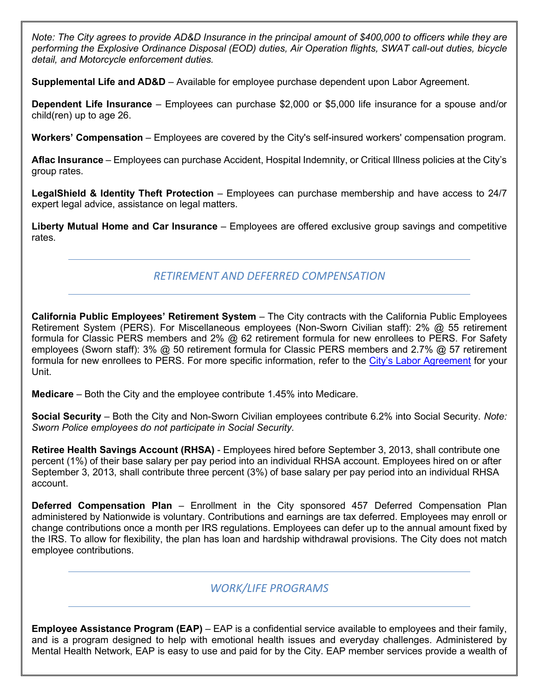*Note: The City agrees to provide AD&D Insurance in the principal amount of \$400,000 to officers while they are performing the Explosive Ordinance Disposal (EOD) duties, Air Operation flights, SWAT call-out duties, bicycle detail, and Motorcycle enforcement duties.*

**Supplemental Life and AD&D** – Available for employee purchase dependent upon Labor Agreement.

**Dependent Life Insurance** – Employees can purchase \$2,000 or \$5,000 life insurance for a spouse and/or child(ren) up to age 26.

**Workers' Compensation** – Employees are covered by the City's self-insured workers' compensation program.

**Aflac Insurance** – Employees can purchase Accident, Hospital Indemnity, or Critical Illness policies at the City's group rates.

**LegalShield & Identity Theft Protection** – Employees can purchase membership and have access to 24/7 expert legal advice, assistance on legal matters.

**Liberty Mutual Home and Car Insurance** – Employees are offered exclusive group savings and competitive rates.

## *RETIREMENT AND DEFERRED COMPENSATION*

**California Public Employees' Retirement System** – The City contracts with the California Public Employees Retirement System (PERS). For Miscellaneous employees (Non-Sworn Civilian staff): 2% @ 55 retirement formula for Classic PERS members and 2% @ 62 retirement formula for new enrollees to PERS. For Safety employees (Sworn staff): 3% @ 50 retirement formula for Classic PERS members and 2.7% @ 57 retirement formula for new enrollees to PERS. For more specific information, refer to the [City's Labor Agreement](http://www.cityofsacramento.org/HR/Divisions/Labor-Relations/Labor-Agreements) for your Unit.

**Medicare** – Both the City and the employee contribute 1.45% into Medicare.

**Social Security** – Both the City and Non-Sworn Civilian employees contribute 6.2% into Social Security. *Note: Sworn Police employees do not participate in Social Security.*

**Retiree Health Savings Account (RHSA)** - Employees hired before September 3, 2013, shall contribute one percent (1%) of their base salary per pay period into an individual RHSA account. Employees hired on or after September 3, 2013, shall contribute three percent (3%) of base salary per pay period into an individual RHSA account.

**Deferred Compensation Plan** – Enrollment in the City sponsored 457 Deferred Compensation Plan administered by Nationwide is voluntary. Contributions and earnings are tax deferred. Employees may enroll or change contributions once a month per IRS regulations. Employees can defer up to the annual amount fixed by the IRS. To allow for flexibility, the plan has loan and hardship withdrawal provisions. The City does not match employee contributions.

### *WORK/LIFE PROGRAMS*

**Employee Assistance Program (EAP)** – EAP is a confidential service available to employees and their family, and is a program designed to help with emotional health issues and everyday challenges. Administered by Mental Health Network, EAP is easy to use and paid for by the City. EAP member services provide a wealth of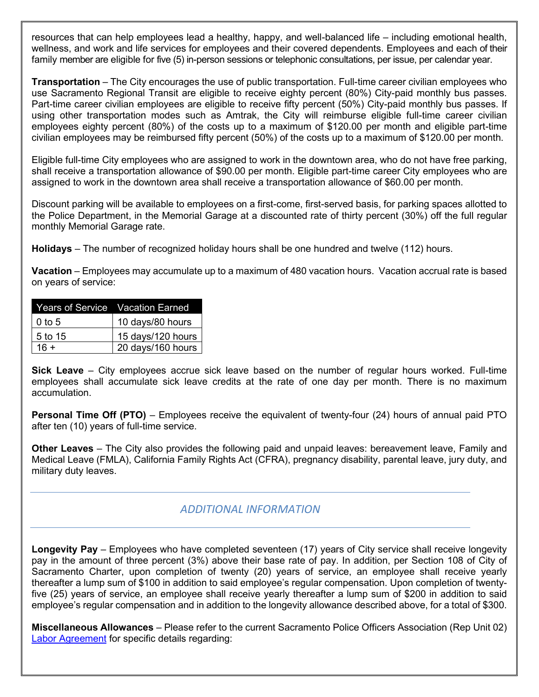resources that can help employees lead a healthy, happy, and well-balanced life – including emotional health, wellness, and work and life services for employees and their covered dependents. Employees and each of their family member are eligible for five (5) in-person sessions or telephonic consultations, per issue, per calendar year.

**Transportation** – The City encourages the use of public transportation. Full-time career civilian employees who use Sacramento Regional Transit are eligible to receive eighty percent (80%) City-paid monthly bus passes. Part-time career civilian employees are eligible to receive fifty percent (50%) City-paid monthly bus passes. If using other transportation modes such as Amtrak, the City will reimburse eligible full-time career civilian employees eighty percent (80%) of the costs up to a maximum of \$120.00 per month and eligible part-time civilian employees may be reimbursed fifty percent (50%) of the costs up to a maximum of \$120.00 per month.

Eligible full-time City employees who are assigned to work in the downtown area, who do not have free parking, shall receive a transportation allowance of \$90.00 per month. Eligible part-time career City employees who are assigned to work in the downtown area shall receive a transportation allowance of \$60.00 per month.

Discount parking will be available to employees on a first-come, first-served basis, for parking spaces allotted to the Police Department, in the Memorial Garage at a discounted rate of thirty percent (30%) off the full regular monthly Memorial Garage rate.

**Holidays** – The number of recognized holiday hours shall be one hundred and twelve (112) hours.

**Vacation** – Employees may accumulate up to a maximum of 480 vacation hours. Vacation accrual rate is based on years of service:

| <b>Years of Service</b> Vacation Earned |                   |
|-----------------------------------------|-------------------|
| $0$ to 5                                | 10 days/80 hours  |
| 5 to 15                                 | 15 days/120 hours |
| $16 +$                                  | 20 days/160 hours |

**Sick Leave** – City employees accrue sick leave based on the number of regular hours worked. Full-time employees shall accumulate sick leave credits at the rate of one day per month. There is no maximum accumulation.

**Personal Time Off (PTO)** – Employees receive the equivalent of twenty-four (24) hours of annual paid PTO after ten (10) years of full-time service.

**Other Leaves** – The City also provides the following paid and unpaid leaves: bereavement leave, Family and Medical Leave (FMLA), California Family Rights Act (CFRA), pregnancy disability, parental leave, jury duty, and military duty leaves.

### *ADDITIONAL INFORMATION*

**Longevity Pay** – Employees who have completed seventeen (17) years of City service shall receive longevity pay in the amount of three percent (3%) above their base rate of pay. In addition, per Section 108 of City of Sacramento Charter, upon completion of twenty (20) years of service, an employee shall receive yearly thereafter a lump sum of \$100 in addition to said employee's regular compensation. Upon completion of twentyfive (25) years of service, an employee shall receive yearly thereafter a lump sum of \$200 in addition to said employee's regular compensation and in addition to the longevity allowance described above, for a total of \$300.

**Miscellaneous Allowances** – Please refer to the current Sacramento Police Officers Association (Rep Unit 02) [Labor Agreement](http://www.cityofsacramento.org/HR/Divisions/Labor-Relations/Labor-Agreements) for specific details regarding: